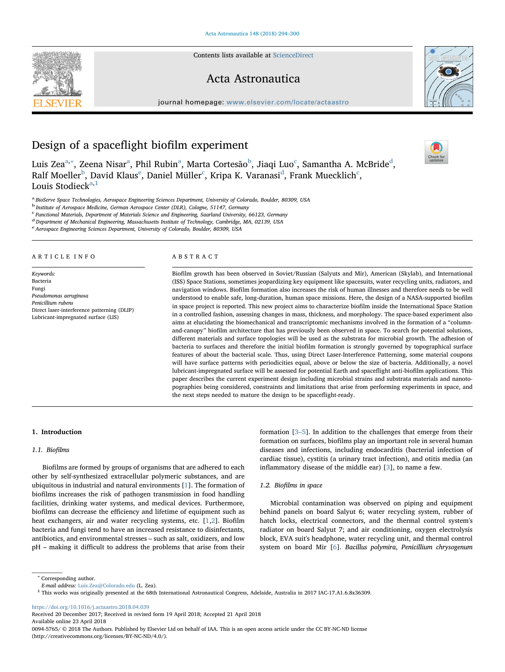Contents lists available at [ScienceDirect](http://www.sciencedirect.com/science/journal/00945765)

# Acta Astronautica

 $j$ ournal homepage: [www.elsevier.com/locate/actaastro](https://www.elsevier.com/locate/actaastro)n/locate/actaastron/locate/actaastron/locate/actaastron/locate/actaastron/locate/actaastron/locate/actaastron/locate/actaastron/locate/actaastron/locate/actaastron/loca





[T](http://crossmark.crossref.org/dialog/?doi=10.1016/j.actaastro.2018.04.039&domain=pdf)

# Design of a spaceflight biofilm experiment

Luis Zea<sup>[a,](#page-0-0)</sup>\*, Zeen[a](#page-0-0) Nisar<sup>a</sup>, Phil Ru[b](#page-0-2)in<sup>a</sup>, Marta Cortesão<sup>b</sup>, Jiaqi Luo<sup>[c](#page-0-3)</sup>, Samantha A. McBri[d](#page-0-4)e<sup>d</sup>, Ralf Mo[e](#page-0-5)ller $^{\rm b}$  $^{\rm b}$  $^{\rm b}$ , Davi[d](#page-0-4) Klaus $^{\rm e}$ , Daniel Müller $^{\rm c}$  $^{\rm c}$  $^{\rm c}$ , Kripa K. Varanasi $^{\rm d}$ , Frank Muecklich $^{\rm c}$ , Louis Stodiec $k^{a,1}$  $k^{a,1}$  $k^{a,1}$  $k^{a,1}$ 

<span id="page-0-0"></span>a BioServe Space Technologies, Aerospace Engineering Sciences Department, University of Colorado, Boulder, 80309, USA

<span id="page-0-2"></span><sup>b</sup> Institute of Aerospace Medicine, German Aerospace Center (DLR), Cologne, 51147, Germany

<span id="page-0-3"></span><sup>c</sup> Functional Materials, Department of Materials Science and Engineering, Saarland University, 66123, Germany

<span id="page-0-4"></span><sup>d</sup> Department of Mechanical Engineering, Massachusetts Institute of Technology, Cambridge, MA, 02139, USA

<span id="page-0-5"></span><sup>e</sup> Aerospace Engineering Sciences Department, University of Colorado, Boulder, 80309, USA

# ARTICLE INFO

Keywords: Bacteria Fungi Pseudomonas aeruginosa Penicillium rubens Direct laser-interference patterning (DLIP) Lubricant-impregnated surface (LIS)

# ABSTRACT

Biofilm growth has been observed in Soviet/Russian (Salyuts and Mir), American (Skylab), and International (ISS) Space Stations, sometimes jeopardizing key equipment like spacesuits, water recycling units, radiators, and navigation windows. Biofilm formation also increases the risk of human illnesses and therefore needs to be well understood to enable safe, long-duration, human space missions. Here, the design of a NASA-supported biofilm in space project is reported. This new project aims to characterize biofilm inside the International Space Station in a controlled fashion, assessing changes in mass, thickness, and morphology. The space-based experiment also aims at elucidating the biomechanical and transcriptomic mechanisms involved in the formation of a "columnand-canopy" biofilm architecture that has previously been observed in space. To search for potential solutions, different materials and surface topologies will be used as the substrata for microbial growth. The adhesion of bacteria to surfaces and therefore the initial biofilm formation is strongly governed by topographical surface features of about the bacterial scale. Thus, using Direct Laser-Interference Patterning, some material coupons will have surface patterns with periodicities equal, above or below the size of bacteria. Additionally, a novel lubricant-impregnated surface will be assessed for potential Earth and spaceflight anti-biofilm applications. This paper describes the current experiment design including microbial strains and substrata materials and nanotopographies being considered, constraints and limitations that arise from performing experiments in space, and the next steps needed to mature the design to be spaceflight-ready.

# 1. Introduction

#### 1.1. Biofilms

Biofilms are formed by groups of organisms that are adhered to each other by self-synthesized extracellular polymeric substances, and are ubiquitous in industrial and natural environments [[1](#page-5-0)]. The formation of biofilms increases the risk of pathogen transmission in food handling facilities, drinking water systems, and medical devices. Furthermore, biofilms can decrease the efficiency and lifetime of equipment such as heat exchangers, air and water recycling systems, etc. [[1](#page-5-0)[,2\]](#page-5-1). Biofilm bacteria and fungi tend to have an increased resistance to disinfectants, antibiotics, and environmental stresses – such as salt, oxidizers, and low pH – making it difficult to address the problems that arise from their

formation [3–[5\]](#page-5-2). In addition to the challenges that emerge from their formation on surfaces, biofilms play an important role in several human diseases and infections, including endocarditis (bacterial infection of cardiac tissue), cystitis (a urinary tract infection), and otitis media (an inflammatory disease of the middle ear) [[3](#page-5-2)], to name a few.

#### 1.2. Biofilms in space

Microbial contamination was observed on piping and equipment behind panels on board Salyut 6; water recycling system, rubber of hatch locks, electrical connectors, and the thermal control system's radiator on board Salyut 7; and air conditioning, oxygen electrolysis block, EVA suit's headphone, water recycling unit, and thermal control system on board Mir [[6](#page-5-3)]. Bacillus polymira, Penicillium chrysogenum

<span id="page-0-1"></span><sup>∗</sup> Corresponding author.

E-mail address: [Luis.Zea@Colorado.edu](mailto:Luis.Zea@Colorado.edu) (L. Zea).

<span id="page-0-6"></span><sup>1</sup> This works was originally presented at the 68th International Astronautical Congress, Adelaide, Australia in 2017 IAC-17.A1.6.8x36309.

<https://doi.org/10.1016/j.actaastro.2018.04.039>

Received 20 December 2017; Received in revised form 19 April 2018; Accepted 21 April 2018 Available online 23 April 2018

0094-5765/ © 2018 The Authors. Published by Elsevier Ltd on behalf of IAA. This is an open access article under the CC BY-NC-ND license (http://creativecommons.org/licenses/BY-NC-ND/4.0/).

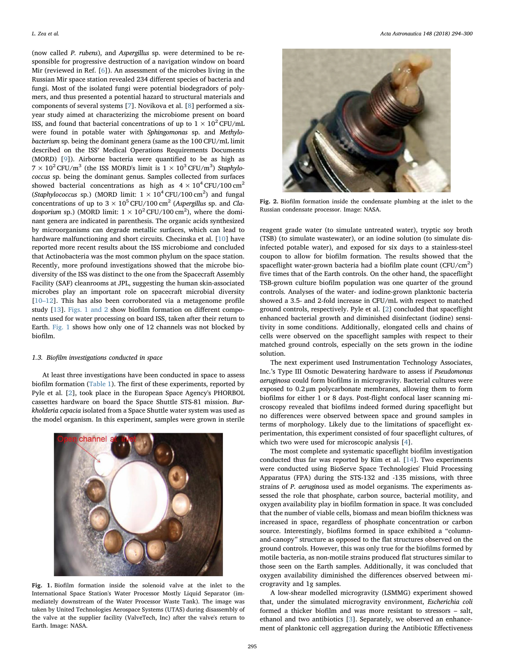(now called P. rubens), and Aspergillus sp. were determined to be responsible for progressive destruction of a navigation window on board Mir (reviewed in Ref. [\[6\]](#page-5-3)). An assessment of the microbes living in the Russian Mir space station revealed 234 different species of bacteria and fungi. Most of the isolated fungi were potential biodegradors of polymers, and thus presented a potential hazard to structural materials and components of several systems [[7](#page-5-4)]. Novikova et al. [\[8\]](#page-5-5) performed a sixyear study aimed at characterizing the microbiome present on board ISS, and found that bacterial concentrations of up to  $1 \times 10^2$  CFU/mL were found in potable water with Sphingomonas sp. and Methylobacterium sp. being the dominant genera (same as the 100 CFU/mL limit described on the ISS′ Medical Operations Requirements Documents (MORD) [\[9\]](#page-5-6)). Airborne bacteria were quantified to be as high as  $7 \times 10^2$  CFU/m<sup>3</sup> (the ISS MORD's limit is  $1 \times 10^3$  CFU/m<sup>3</sup>) Staphylococcus sp. being the dominant genus. Samples collected from surfaces showed bacterial concentrations as high as  $4 \times 10^4$  CFU/100 cm<sup>2</sup> (Staphylococcus sp.) (MORD limit:  $1 \times 10^4$  CFU/100 cm<sup>2</sup>) and fungal concentrations of up to  $3 \times 10^5$  CFU/100 cm<sup>2</sup> (Aspergillus sp. and Cladosporium sp.) (MORD limit:  $1 \times 10^2$  CFU/100 cm<sup>2</sup>), where the dominant genera are indicated in parenthesis. The organic acids synthesized by microorganisms can degrade metallic surfaces, which can lead to hardware malfunctioning and short circuits. Checinska et al. [\[10](#page-5-7)] have reported more recent results about the ISS microbiome and concluded that Actinobacteria was the most common phylum on the space station. Recently, more profound investigations showed that the microbe biodiversity of the ISS was distinct to the one from the Spacecraft Assembly Facility (SAF) cleanrooms at JPL, suggesting the human skin-associated microbes play an important role on spacecraft microbial diversity [10–[12\]](#page-5-7). This has also been corroborated via a metagenome profile study [\[13](#page-5-8)]. [Figs. 1 and 2](#page-1-0) show biofilm formation on different components used for water processing on board ISS, taken after their return to Earth. [Fig. 1](#page-1-0) shows how only one of 12 channels was not blocked by biofilm.

# 1.3. Biofilm investigations conducted in space

At least three investigations have been conducted in space to assess biofilm formation [\(Table 1](#page-2-0)). The first of these experiments, reported by Pyle et al. [[2](#page-5-1)], took place in the European Space Agency's PHORBOL cassettes hardware on board the Space Shuttle STS-81 mission. Burkholderia cepacia isolated from a Space Shuttle water system was used as the model organism. In this experiment, samples were grown in sterile

<span id="page-1-0"></span>

Fig. 1. Biofilm formation inside the solenoid valve at the inlet to the International Space Station's Water Processor Mostly Liquid Separator (immediately downstream of the Water Processor Waste Tank). The image was taken by United Technologies Aerospace Systems (UTAS) during disassembly of the valve at the supplier facility (ValveTech, Inc) after the valve's return to Earth. Image: NASA.



Fig. 2. Biofilm formation inside the condensate plumbing at the inlet to the Russian condensate processor. Image: NASA.

reagent grade water (to simulate untreated water), tryptic soy broth (TSB) (to simulate wastewater), or an iodine solution (to simulate disinfected potable water), and exposed for six days to a stainless-steel coupon to allow for biofilm formation. The results showed that the spaceflight water-grown bacteria had a biofilm plate count (CFU/cm<sup>2</sup>) five times that of the Earth controls. On the other hand, the spaceflight TSB-grown culture biofilm population was one quarter of the ground controls. Analyses of the water- and iodine-grown planktonic bacteria showed a 3.5- and 2-fold increase in CFU/mL with respect to matched ground controls, respectively. Pyle et al. [\[2\]](#page-5-1) concluded that spaceflight enhanced bacterial growth and diminished disinfectant (iodine) sensitivity in some conditions. Additionally, elongated cells and chains of cells were observed on the spaceflight samples with respect to their matched ground controls, especially on the sets grown in the iodine solution.

The next experiment used Instrumentation Technology Associates, Inc.'s Type III Osmotic Dewatering hardware to assess if Pseudomonas aeruginosa could form biofilms in microgravity. Bacterial cultures were exposed to 0.2 μm polycarbonate membranes, allowing them to form biofilms for either 1 or 8 days. Post-flight confocal laser scanning microscopy revealed that biofilms indeed formed during spaceflight but no differences were observed between space and ground samples in terms of morphology. Likely due to the limitations of spaceflight experimentation, this experiment consisted of four spaceflight cultures, of which two were used for microscopic analysis [[4](#page-5-9)].

The most complete and systematic spaceflight biofilm investigation conducted thus far was reported by Kim et al. [[14\]](#page-5-10). Two experiments were conducted using BioServe Space Technologies' Fluid Processing Apparatus (FPA) during the STS-132 and -135 missions, with three strains of P. aeruginosa used as model organisms. The experiments assessed the role that phosphate, carbon source, bacterial motility, and oxygen availability play in biofilm formation in space. It was concluded that the number of viable cells, biomass and mean biofilm thickness was increased in space, regardless of phosphate concentration or carbon source. Interestingly, biofilms formed in space exhibited a "columnand-canopy" structure as opposed to the flat structures observed on the ground controls. However, this was only true for the biofilms formed by motile bacteria, as non-motile strains produced flat structures similar to those seen on the Earth samples. Additionally, it was concluded that oxygen availability diminished the differences observed between microgravity and 1g samples.

A low-shear modelled microgravity (LSMMG) experiment showed that, under the simulated microgravity environment, Escherichia coli formed a thicker biofilm and was more resistant to stressors – salt, ethanol and two antibiotics [[3](#page-5-2)]. Separately, we observed an enhancement of planktonic cell aggregation during the Antibiotic Effectiveness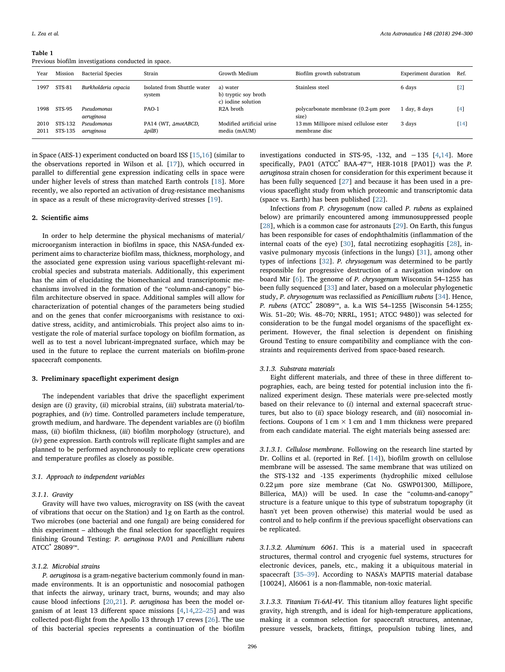<span id="page-2-0"></span>Table 1

Previous biofilm investigations conducted in space.

| Year         | Mission            | <b>Bacterial Species</b>  | Strain                                        | Growth Medium                                          | Biofilm growth substratum                              | Experiment duration | Ref.   |
|--------------|--------------------|---------------------------|-----------------------------------------------|--------------------------------------------------------|--------------------------------------------------------|---------------------|--------|
| 1997         | <b>STS-81</b>      | Burkholderia cepacia      | Isolated from Shuttle water<br>system         | a) water<br>b) tryptic soy broth<br>c) iodine solution | Stainless steel                                        | 6 days              | $[2]$  |
| 1998         | <b>STS-95</b>      | Pseudomonas<br>aeruginosa | PAO-1                                         | R <sub>2</sub> A broth                                 | polycarbonate membrane (0.2-um pore<br>size)           | 1 day, 8 days       | [4]    |
| 2010<br>2011 | STS-132<br>STS-135 | Pseudomonas<br>aeruginosa | PA14 (WT, AmotABCD,<br>$\Delta \text{pilB}$ ) | Modified artificial urine<br>media (mAUM)              | 13 mm Millipore mixed cellulose ester<br>membrane disc | 3 days              | $[14]$ |

in Space (AES-1) experiment conducted on board ISS [[15](#page-5-11)[,16](#page-5-12)] (similar to the observations reported in Wilson et al. [\[17](#page-5-13)]), which occurred in parallel to differential gene expression indicating cells in space were under higher levels of stress than matched Earth controls [[18\]](#page-5-14). More recently, we also reported an activation of drug-resistance mechanisms in space as a result of these microgravity-derived stresses [\[19](#page-5-15)].

# 2. Scientific aims

In order to help determine the physical mechanisms of material/ microorganism interaction in biofilms in space, this NASA-funded experiment aims to characterize biofilm mass, thickness, morphology, and the associated gene expression using various spaceflight-relevant microbial species and substrata materials. Additionally, this experiment has the aim of elucidating the biomechanical and transcriptomic mechanisms involved in the formation of the "column-and-canopy" biofilm architecture observed in space. Additional samples will allow for characterization of potential changes of the parameters being studied and on the genes that confer microorganisms with resistance to oxidative stress, acidity, and antimicrobials. This project also aims to investigate the role of material surface topology on biofilm formation, as well as to test a novel lubricant-impregnated surface, which may be used in the future to replace the current materials on biofilm-prone spacecraft components.

# 3. Preliminary spaceflight experiment design

The independent variables that drive the spaceflight experiment design are (i) gravity, (ii) microbial strains, (iii) substrata material/topographies, and (iv) time. Controlled parameters include temperature, growth medium, and hardware. The dependent variables are (i) biofilm mass, (ii) biofilm thickness, (iii) biofilm morphology (structure), and (iv) gene expression. Earth controls will replicate flight samples and are planned to be performed asynchronously to replicate crew operations and temperature profiles as closely as possible.

# 3.1. Approach to independent variables

# 3.1.1. Gravity

Gravity will have two values, microgravity on ISS (with the caveat of vibrations that occur on the Station) and 1g on Earth as the control. Two microbes (one bacterial and one fungal) are being considered for this experiment – although the final selection for spaceflight requires finishing Ground Testing: P. aeruginosa PA01 and Penicillium rubens ATCC® 28089™.

#### 3.1.2. Microbial strains

P. aeruginosa is a gram-negative bacterium commonly found in manmade environments. It is an opportunistic and nosocomial pathogen that infects the airway, urinary tract, burns, wounds; and may also cause blood infections [[20,](#page-5-16)[21](#page-5-17)]. P. aeruginosa has been the model organism of at least 13 different space missions [\[4,](#page-5-9)[14,](#page-5-10)22–[25\]](#page-5-18) and was collected post-flight from the Apollo 13 through 17 crews [[26\]](#page-6-0). The use of this bacterial species represents a continuation of the biofilm

investigations conducted in STS-95, -132, and  $-135$  [\[4](#page-5-9)[,14](#page-5-10)]. More specifically, PA01 (ATCC $^*$  BAA-47<sup>™</sup>, HER-1018 [PA01]) was the P. aeruginosa strain chosen for consideration for this experiment because it has been fully sequenced [[27\]](#page-6-1) and because it has been used in a previous spaceflight study from which proteomic and transcriptomic data (space vs. Earth) has been published [[22\]](#page-5-18).

Infections from P. chrysogenum (now called P. rubens as explained below) are primarily encountered among immunosuppressed people [[28\]](#page-6-2), which is a common case for astronauts [[29\]](#page-6-3). On Earth, this fungus has been responsible for cases of endophthalmitis (inflammation of the internal coats of the eye) [[30\]](#page-6-4), fatal necrotizing esophagitis [\[28](#page-6-2)], invasive pulmonary mycosis (infections in the lungs) [[31\]](#page-6-5), among other types of infections [[32\]](#page-6-6). P. chrysogenum was determined to be partly responsible for progressive destruction of a navigation window on board Mir [[6](#page-5-3)]. The genome of P. chrysogenum Wisconsin 54–1255 has been fully sequenced [[33\]](#page-6-7) and later, based on a molecular phylogenetic study, P. chrysogenum was reclassified as Penicillium rubens [[34\]](#page-6-8). Hence, P. rubens (ATCC<sup>®</sup> 28089™, a. k.a WIS 54-1255 [Wisconsin 54-1255; Wis. 51–20; Wis. 48–70; NRRL, 1951; ATCC 9480]) was selected for consideration to be the fungal model organisms of the spaceflight experiment. However, the final selection is dependent on finishing Ground Testing to ensure compatibility and compliance with the constraints and requirements derived from space-based research.

#### 3.1.3. Substrata materials

Eight different materials, and three of these in three different topographies, each, are being tested for potential inclusion into the finalized experiment design. These materials were pre-selected mostly based on their relevance to (i) internal and external spacecraft structures, but also to (ii) space biology research, and (iii) nosocomial infections. Coupons of  $1 \text{ cm} \times 1 \text{ cm}$  and  $1 \text{ mm}$  thickness were prepared from each candidate material. The eight materials being assessed are:

3.1.3.1. Cellulose membrane. Following on the research line started by Dr. Collins et al. (reported in Ref. [\[14](#page-5-10)]), biofilm growth on cellulose membrane will be assessed. The same membrane that was utilized on the STS-132 and -135 experiments (hydrophilic mixed cellulose 0.22 μm pore size membrane (Cat No. GSWP01300, Millipore, Billerica, MA)) will be used. In case the "column-and-canopy" structure is a feature unique to this type of substratum topography (it hasn't yet been proven otherwise) this material would be used as control and to help confirm if the previous spaceflight observations can be replicated.

3.1.3.2. Aluminum 6061. This is a material used in spacecraft structures, thermal control and cryogenic fuel systems, structures for electronic devices, panels, etc., making it a ubiquitous material in spacecraft [\[35](#page-6-9)–39]. According to NASA's MAPTIS material database [10024], Al6061 is a non-flammable, non-toxic material.

3.1.3.3. Titanium Ti-6Al-4V. This titanium alloy features light specific gravity, high strength, and is ideal for high-temperature applications, making it a common selection for spacecraft structures, antennae, pressure vessels, brackets, fittings, propulsion tubing lines, and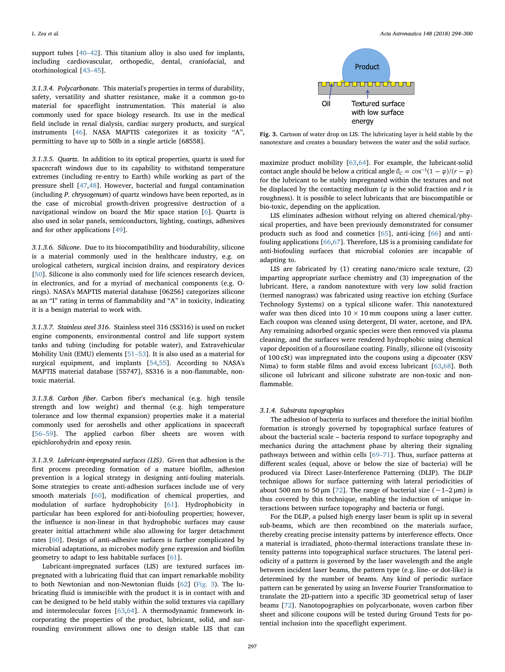support tubes [\[40](#page-6-10)–42]. This titanium alloy is also used for implants, including cardiovascular, orthopedic, dental, craniofacial, and otorhinological [\[43](#page-6-11)–45].

3.1.3.4. Polycarbonate. This material's properties in terms of durability, safety, versatility and shatter resistance, make it a common go-to material for spaceflight instrumentation. This material is also commonly used for space biology research. Its use in the medical field include in renal dialysis, cardiac surgery products, and surgical instruments [[46\]](#page-6-12). NASA MAPTIS categorizes it as toxicity "A", permitting to have up to 50lb in a single article [68558].

3.1.3.5. Quartz. In addition to its optical properties, quartz is used for spacecraft windows due to its capability to withstand temperature extremes (including re-entry to Earth) while working as part of the pressure shell [[47](#page-6-13)[,48](#page-6-14)]. However, bacterial and fungal contamination (including P. chrysogenum) of quartz windows have been reported, as in the case of microbial growth-driven progressive destruction of a navigational window on board the Mir space station [\[6\]](#page-5-3). Quartz is also used in solar panels, semiconductors, lighting, coatings, adhesives and for other applications [\[49](#page-6-15)].

3.1.3.6. Silicone. Due to its biocompatibility and biodurability, silicone is a material commonly used in the healthcare industry, e.g. on urological catheters, surgical incision drains, and respiratory devices [[50\]](#page-6-16). Silicone is also commonly used for life sciences research devices, in electronics, and for a myriad of mechanical components (e.g. Orings). NASA's MAPTIS material database [06256] categorizes silicone as an "I" rating in terms of flammability and "A" in toxicity, indicating it is a benign material to work with.

3.1.3.7. Stainless steel 316. Stainless steel 316 (SS316) is used on rocket engine components, environmental control and life support system tanks and tubing (including for potable water), and Extravehicular Mobility Unit (EMU) elements [\[51](#page-6-17)–53]. It is also used as a material for surgical equipment, and implants [\[54](#page-6-18),[55\]](#page-6-19). According to NASA's MAPTIS material database [55747], SS316 is a non-flammable, nontoxic material.

3.1.3.8. Carbon fiber. Carbon fiber's mechanical (e.g. high tensile strength and low weight) and thermal (e.g. high temperature tolerance and low thermal expansion) properties make it a material commonly used for aeroshells and other applications in spacecraft [56–[59\]](#page-6-20). The applied carbon fiber sheets are woven with epichlorohydrin and epoxy resin.

3.1.3.9. Lubricant-impregnated surfaces (LIS). Given that adhesion is the first process preceding formation of a mature biofilm, adhesion prevention is a logical strategy in designing anti-fouling materials. Some strategies to create anti-adhesion surfaces include use of very smooth materials [\[60](#page-6-21)], modification of chemical properties, and modulation of surface hydrophobicity [\[61](#page-6-22)]. Hydrophobicity in particular has been explored for anti-biofouling properties; however, the influence is non-linear in that hydrophobic surfaces may cause greater initial attachment while also allowing for larger detachment rates [\[60](#page-6-21)]. Design of anti-adhesive surfaces is further complicated by microbial adaptations, as microbes modify gene expression and biofilm geometry to adapt to less habitable surfaces [\[61](#page-6-22)].

Lubricant-impregnated surfaces (LIS) are textured surfaces impregnated with a lubricating fluid that can impart remarkable mobility to both Newtonian and non-Newtonian fluids [\[62](#page-6-23)] ([Fig. 3](#page-3-0)). The lubricating fluid is immiscible with the product it is in contact with and can be designed to be held stably within the solid textures via capillary and intermolecular forces [\[63](#page-6-24),[64\]](#page-6-25). A thermodynamic framework incorporating the properties of the product, lubricant, solid, and surrounding environment allows one to design stable LIS that can

<span id="page-3-0"></span>

Fig. 3. Cartoon of water drop on LIS. The lubricating layer is held stable by the nanotexture and creates a boundary between the water and the solid surface.

maximize product mobility [[63,](#page-6-24)[64\]](#page-6-25). For example, the lubricant-solid contact angle should be below a critical angle  $\theta_C = \cos^{-1}(1 - \varphi)/(r - \varphi)$ for the lubricant to be stably impregnated within the textures and not be displaced by the contacting medium ( $\varphi$  is the solid fraction and  $r$  is roughness). It is possible to select lubricants that are biocompatible or bio-toxic, depending on the application.

LIS eliminates adhesion without relying on altered chemical/physical properties, and have been previously demonstrated for consumer products such as food and cosmetics [\[65](#page-6-26)], anti-icing [\[66](#page-6-27)] and antifouling applications [\[66](#page-6-27),[67\]](#page-6-28). Therefore, LIS is a promising candidate for anti-biofouling surfaces that microbial colonies are incapable of adapting to.

LIS are fabricated by (1) creating nano/micro scale texture, (2) imparting appropriate surface chemistry and (3) impregnation of the lubricant. Here, a random nanotexture with very low solid fraction (termed nanograss) was fabricated using reactive ion etching (Surface Technology Systems) on a typical silicone wafer. This nanotextured wafer was then diced into  $10 \times 10$  mm coupons using a laser cutter. Each coupon was cleaned using detergent, DI water, acetone, and IPA. Any remaining adsorbed organic species were then removed via plasma cleaning, and the surfaces were rendered hydrophobic using chemical vapor deposition of a flourosilane coating. Finally, silicone oil (viscosity of 100 cSt) was impregnated into the coupons using a dipcoater (KSV Nima) to form stable films and avoid excess lubricant [[63](#page-6-24)[,68](#page-6-29)]. Both silicone oil lubricant and silicone substrate are non-toxic and nonflammable.

# 3.1.4. Substrata topographies

The adhesion of bacteria to surfaces and therefore the initial biofilm formation is strongly governed by topographical surface features of about the bacterial scale – bacteria respond to surface topography and mechanics during the attachment phase by altering their signaling pathways between and within cells [69–[71\]](#page-6-30). Thus, surface patterns at different scales (equal, above or below the size of bacteria) will be produced via Direct Laser-Interference Patterning (DLIP). The DLIP technique allows for surface patterning with lateral periodicities of about 500 nm to 50 μm [[72\]](#page-6-31). The range of bacterial size ( $\sim$  1–2 μm) is thus covered by this technique, enabling the induction of unique interactions between surface topography and bacteria or fungi.

For the DLIP, a pulsed high energy laser beam is split up in several sub-beams, which are then recombined on the materials surface, thereby creating precise intensity patterns by interference effects. Once a material is irradiated, photo-thermal interactions translate these intensity patterns into topographical surface structures. The lateral periodicity of a pattern is governed by the laser wavelength and the angle between incident laser beams, the pattern type (e.g. line- or dot-like) is determined by the number of beams. Any kind of periodic surface pattern can be generated by using an Inverse Fourier Transformation to translate the 2D-pattern into a specific 3D geometrical setup of laser beams [\[72](#page-6-31)]. Nanotopographies on polycarbonate, woven carbon fiber sheet and silicone coupons will be tested during Ground Tests for potential inclusion into the spaceflight experiment.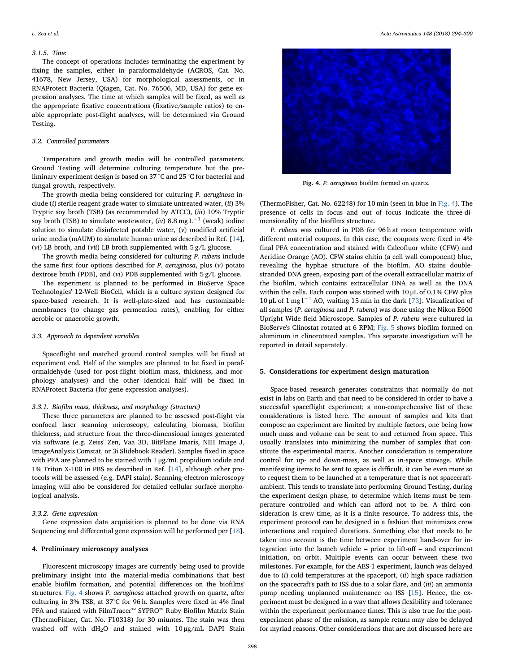#### 3.1.5. Time

The concept of operations includes terminating the experiment by fixing the samples, either in paraformaldehyde (ACROS, Cat. No. 41678, New Jersey, USA) for morphological assessments, or in RNAProtect Bacteria (Qiagen, Cat. No. 76506, MD, USA) for gene expression analyses. The time at which samples will be fixed, as well as the appropriate fixative concentrations (fixative/sample ratios) to enable appropriate post-flight analyses, will be determined via Ground Testing.

# 3.2. Controlled parameters

Temperature and growth media will be controlled parameters. Ground Testing will determine culturing temperature but the preliminary experiment design is based on 37 °C and 25 °C for bacterial and fungal growth, respectively.

The growth media being considered for culturing P. aeruginosa include (i) sterile reagent grade water to simulate untreated water, (ii) 3% Tryptic soy broth (TSB) (as recommended by ATCC), (iii) 10% Tryptic soy broth (TSB) to simulate wastewater, (iv)  $8.8 \text{ mg L}^{-1}$  (weak) iodine solution to simulate disinfected potable water, (v) modified artificial urine media (mAUM) to simulate human urine as described in Ref. [\[14](#page-5-10)], (vi) LB broth, and (vii) LB broth supplemented with  $5 g/L$  glucose.

The growth media being considered for culturing P. rubens include the same first four options described for P. aeruginosa, plus (v) potato dextrose broth (PDB), and (vi) PDB supplemented with 5 g/L glucose.

The experiment is planned to be performed in BioServe Space Technologies' 12-Well BioCell, which is a culture system designed for space-based research. It is well-plate-sized and has customizable membranes (to change gas permeation rates), enabling for either aerobic or anaerobic growth.

#### 3.3. Approach to dependent variables

Spaceflight and matched ground control samples will be fixed at experiment end. Half of the samples are planned to be fixed in paraformaldehyde (used for post-flight biofilm mass, thickness, and morphology analyses) and the other identical half will be fixed in RNAProtect Bacteria (for gene expression analyses).

#### 3.3.1. Biofilm mass, thickness, and morphology (structure)

These three parameters are planned to be assessed post-flight via confocal laser scanning microscopy, calculating biomass, biofilm thickness, and structure from the three-dimensional images generated via software (e.g. Zeiss' Zen, Vaa 3D, BitPlane Imaris, NIH Image J, ImageAnalysis Comstat, or 3i Slidebook Reader). Samples fixed in space with PFA are planned to be stained with 1 μg/mL propidium iodide and 1% Triton X-100 in PBS as described in Ref. [[14\]](#page-5-10), although other protocols will be assessed (e.g. DAPI stain). Scanning electron microscopy imaging will also be considered for detailed cellular surface morphological analysis.

# 3.3.2. Gene expression

Gene expression data acquisition is planned to be done via RNA Sequencing and differential gene expression will be performed per [\[18](#page-5-14)].

# 4. Preliminary microscopy analyses

Fluorescent microscopy images are currently being used to provide preliminary insight into the material-media combinations that best enable biofilm formation, and potential differences on the biofilms' structures. [Fig. 4](#page-4-0) shows P. aeruginosa attached growth on quartz, after culturing in 3% TSB, at 37°C for 96 h. Samples were fixed in 4% final PFA and stained with FilmTracer™ SYPRO™ Ruby Biofilm Matrix Stain (ThermoFisher, Cat. No. F10318) for 30 miuntes. The stain was then washed off with  $dH_2O$  and stained with  $10 \mu g/mL$  DAPI Stain

<span id="page-4-0"></span>

Fig. 4. P. aeruginosa biofilm formed on quartz.

(ThermoFisher, Cat. No. 62248) for 10 min (seen in blue in [Fig. 4\)](#page-4-0). The presence of cells in focus and out of focus indicate the three-dimensionality of the biofilms structure.

P. rubens was cultured in PDB for 96 h at room temperature with different material coupons. In this case, the coupons were fixed in 4% final PFA concentration and stained with Calcofluor white (CFW) and Acridine Orange (AO). CFW stains chitin (a cell wall component) blue, revealing the hyphae structure of the biofilm. AO stains doublestranded DNA green, exposing part of the overall extracellular matrix of the biofilm, which contains extracellular DNA as well as the DNA within the cells. Each coupon was stained with 10 μL of 0.1% CFW plus 10 μL of 1 mg l−<sup>1</sup> AO, waiting 15 min in the dark [[73](#page-6-32)]. Visualization of all samples (P. aeruginosa and P. rubens) was done using the Nikon E600 Upright Wide field Microscope. Samples of P. rubens were cultured in BioServe's Clinostat rotated at 6 RPM; [Fig. 5](#page-5-19) shows biofilm formed on aluminum in clinorotated samples. This separate investigation will be reported in detail separately.

# 5. Considerations for experiment design maturation

Space-based research generates constraints that normally do not exist in labs on Earth and that need to be considered in order to have a successful spaceflight experiment; a non-comprehensive list of these considerations is listed here. The amount of samples and kits that compose an experiment are limited by multiple factors, one being how much mass and volume can be sent to and returned from space. This usually translates into minimizing the number of samples that constitute the experimental matrix. Another consideration is temperature control for up- and down-mass, as well as in-space stowage. While manifesting items to be sent to space is difficult, it can be even more so to request them to be launched at a temperature that is not spacecraftambient. This tends to translate into performing Ground Testing, during the experiment design phase, to determine which items must be temperature controlled and which can afford not to be. A third consideration is crew time, as it is a finite resource. To address this, the experiment protocol can be designed in a fashion that minimizes crew interactions and required durations. Something else that needs to be taken into account is the time between experiment hand-over for integration into the launch vehicle – prior to lift-off – and experiment initiation, on orbit. Multiple events can occur between these two milestones. For example, for the AES-1 experiment, launch was delayed due to  $(i)$  cold temperatures at the spaceport,  $(ii)$  high space radiation on the spacecraft's path to ISS due to a solar flare, and (iii) an ammonia pump needing unplanned maintenance on ISS [[15\]](#page-5-11). Hence, the experiment must be designed in a way that allows flexibility and tolerance within the experiment performance times. This is also true for the postexperiment phase of the mission, as sample return may also be delayed for myriad reasons. Other considerations that are not discussed here are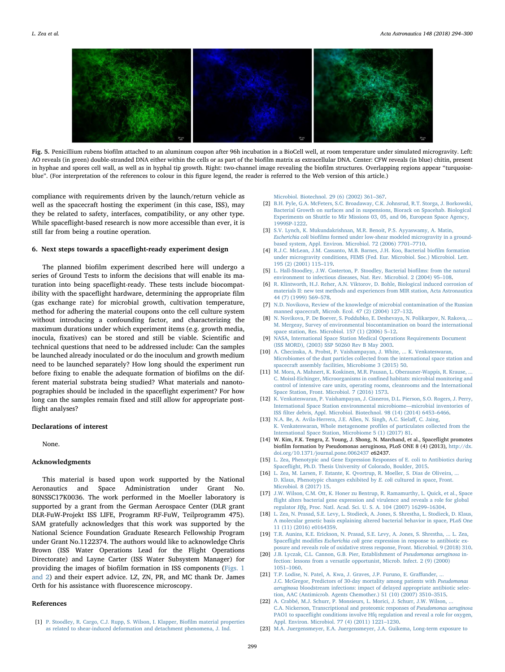<span id="page-5-19"></span>

Fig. 5. Penicillium rubens biofilm attached to an aluminum coupon after 96h incubation in a BioCell well, at room temperature under simulated microgravity. Left: AO reveals (in green) double-stranded DNA either within the cells or as part of the biofilm matrix as extracellular DNA. Center: CFW reveals (in blue) chitin, present in hyphae and spores cell wall, as well as in hyphal tip growth. Right: two-channel image revealing the biofilm structures. Overlapping regions appear "turquoiseblue". (For interpretation of the references to colour in this figure legend, the reader is referred to the Web version of this article.)

compliance with requirements driven by the launch/return vehicle as well as the spacecraft hosting the experiment (in this case, ISS), may they be related to safety, interfaces, compatibility, or any other type. While spaceflight-based research is now more accessible than ever, it is still far from being a routine operation.

# 6. Next steps towards a spaceflight-ready experiment design

The planned biofilm experiment described here will undergo a series of Ground Tests to inform the decisions that will enable its maturation into being spaceflight-ready. These tests include biocompatibility with the spaceflight hardware, determining the appropriate film (gas exchange rate) for microbial growth, cultivation temperature, method for adhering the material coupons onto the cell culture system without introducing a confounding factor, and characterizing the maximum durations under which experiment items (e.g. growth media, inocula, fixatives) can be stored and still be viable. Scientific and technical questions that need to be addressed include: Can the samples be launched already inoculated or do the inoculum and growth medium need to be launched separately? How long should the experiment run before fixing to enable the adequate formation of biofilms on the different material substrata being studied? What materials and nanotopographies should be included in the spaceflight experiment? For how long can the samples remain fixed and still allow for appropriate postflight analyses?

# Declarations of interest

None.

# Acknowledgments

This material is based upon work supported by the National Aeronautics and Space Administration under Grant No. 80NSSC17K0036. The work performed in the Moeller laboratory is supported by a grant from the German Aerospace Center (DLR grant DLR-FuW-Projekt ISS LIFE, Programm RF-FuW, Teilprogramm 475). SAM gratefully acknowledges that this work was supported by the National Science Foundation Graduate Research Fellowship Program under Grant No.1122374. The authors would like to acknowledge Chris Brown (ISS Water Operations Lead for the Flight Operations Directorate) and Layne Carter (ISS Water Subsystem Manager) for providing the images of biofilm formation in ISS components ([Figs. 1](#page-1-0) [and 2](#page-1-0)) and their expert advice. LZ, ZN, PR, and MC thank Dr. James Orth for his assistance with fluorescence microscopy.

#### References

<span id="page-5-0"></span>[1] [P. Stoodley, R. Cargo, C.J. Rupp, S. Wilson, I. Klapper, Bio](http://refhub.elsevier.com/S0094-5765(17)31708-3/sref1)film material properties [as related to shear-induced deformation and detachment phenomena, J. Ind.](http://refhub.elsevier.com/S0094-5765(17)31708-3/sref1)

[Microbiol. Biotechnol. 29 \(6\) \(2002\) 361](http://refhub.elsevier.com/S0094-5765(17)31708-3/sref1)–367.

- <span id="page-5-1"></span>[2] [B.H. Pyle, G.A. McFeters, S.C. Broadaway, C.K. Johnsrud, R.T. Storga, J. Borkowski,](http://refhub.elsevier.com/S0094-5765(17)31708-3/sref2) [Bacterial Growth on surfaces and in suspensions, Biorack on Spacehab. Biological](http://refhub.elsevier.com/S0094-5765(17)31708-3/sref2) [Experiments on Shuttle to Mir Missions 03, 05, and 06, European Space Agency,](http://refhub.elsevier.com/S0094-5765(17)31708-3/sref2) [1999SP-1222.](http://refhub.elsevier.com/S0094-5765(17)31708-3/sref2)
- <span id="page-5-2"></span>[3] [S.V. Lynch, K. Mukundakrishnan, M.R. Benoit, P.S. Ayyaswamy, A. Matin,](http://refhub.elsevier.com/S0094-5765(17)31708-3/sref3) Escherichia coli biofi[lms formed under low-shear modeled microgravity in a ground](http://refhub.elsevier.com/S0094-5765(17)31708-3/sref3)[based system, Appl. Environ. Microbiol. 72 \(2006\) 7701](http://refhub.elsevier.com/S0094-5765(17)31708-3/sref3)–7710.
- <span id="page-5-9"></span>[4] [R.J.C. McLean, J.M. Cassanto, M.B. Barnes, J.H. Koo, Bacterial bio](http://refhub.elsevier.com/S0094-5765(17)31708-3/sref4)film formation [under microgravity conditions, FEMS \(Fed. Eur. Microbiol. Soc.\) Microbiol. Lett.](http://refhub.elsevier.com/S0094-5765(17)31708-3/sref4) [195 \(2\) \(2001\) 115](http://refhub.elsevier.com/S0094-5765(17)31708-3/sref4)–119.
- [5] [L. Hall-Stoodley, J.W. Costerton, P. Stoodley, Bacterial bio](http://refhub.elsevier.com/S0094-5765(17)31708-3/sref5)films: from the natural [environment to infectious diseases, Nat. Rev. Microbiol. 2 \(2004\) 95](http://refhub.elsevier.com/S0094-5765(17)31708-3/sref5)–108.
- <span id="page-5-3"></span>[6] [R. Klintworth, H.J. Reher, A.N. Viktorov, D. Bohle, Biological induced corrosion of](http://refhub.elsevier.com/S0094-5765(17)31708-3/sref6) [materials II: new test methods and experiences from MIR station, Acta Astronautica](http://refhub.elsevier.com/S0094-5765(17)31708-3/sref6) [44 \(7\) \(1999\) 569](http://refhub.elsevier.com/S0094-5765(17)31708-3/sref6)–578.
- <span id="page-5-4"></span>[7] [N.D. Novikova, Review of the knowledge of microbial contamination of the Russian](http://refhub.elsevier.com/S0094-5765(17)31708-3/sref7) [manned spacecraft, Microb. Ecol. 47 \(2\) \(2004\) 127](http://refhub.elsevier.com/S0094-5765(17)31708-3/sref7)–132.
- <span id="page-5-5"></span>[8] [N. Novikova, P. De Boever, S. Poddubko, E. Deshevaya, N. Polikarpov, N. Rakova, ...](http://refhub.elsevier.com/S0094-5765(17)31708-3/sref8) [M. Mergeay, Survey of environmental biocontamination on board the international](http://refhub.elsevier.com/S0094-5765(17)31708-3/sref8) [space station, Res. Microbiol. 157 \(1\) \(2006\) 5](http://refhub.elsevier.com/S0094-5765(17)31708-3/sref8)–12.
- <span id="page-5-6"></span>[9] [NASA, International Space Station Medical Operations Requirements Document](http://refhub.elsevier.com/S0094-5765(17)31708-3/sref9) [\(ISS MORD\), \(2003\) SSP 50260 Rev B May 2003.](http://refhub.elsevier.com/S0094-5765(17)31708-3/sref9)
- <span id="page-5-7"></span>[10] [A. Checinska, A. Probst, P. Vaishampayan, J. White, ... K. Venkateswaran,](http://refhub.elsevier.com/S0094-5765(17)31708-3/sref10) [Microbiomes of the dust particles collected from the international space station and](http://refhub.elsevier.com/S0094-5765(17)31708-3/sref10) [spacecraft assembly facilities, Microbiome 3 \(2015\) 50.](http://refhub.elsevier.com/S0094-5765(17)31708-3/sref10)
- [11] [M. Mora, A. Mahnert, K. Koskinen, M.R. Pausan, L. Oberauner-Wappis, R. Krause, ...](http://refhub.elsevier.com/S0094-5765(17)31708-3/sref11) [C. Moissl-Eichinger, Microorganisms in con](http://refhub.elsevier.com/S0094-5765(17)31708-3/sref11)fined habitats: microbial monitoring and [control of intensive care units, operating rooms, cleanrooms and the International](http://refhub.elsevier.com/S0094-5765(17)31708-3/sref11) [Space Station, Front. Microbiol. 7 \(2016\) 1573.](http://refhub.elsevier.com/S0094-5765(17)31708-3/sref11)
- [12] [K. Venkateswaran, P. Vaishampayan, J. Cisneros, D.L. Pierson, S.O. Rogers, J. Perry,](http://refhub.elsevier.com/S0094-5765(17)31708-3/sref12) [International Space Station environmental microbiome](http://refhub.elsevier.com/S0094-5765(17)31708-3/sref12)—microbial inventories of ISS fi[lter debris, Appl. Microbiol. Biotechnol. 98 \(14\) \(2014\) 6453](http://refhub.elsevier.com/S0094-5765(17)31708-3/sref12)–6466.
- <span id="page-5-8"></span>[13] [N.A. Be, A. Avila-Herrera, J.E. Allen, N. Singh, A.C. Siela](http://refhub.elsevier.com/S0094-5765(17)31708-3/sref13)ff, C. Jaing, [K. Venkateswaran, Whole metagenome pro](http://refhub.elsevier.com/S0094-5765(17)31708-3/sref13)files of particulates collected from the [International Space Station, Microbiome 5 \(1\) \(2017\) 81.](http://refhub.elsevier.com/S0094-5765(17)31708-3/sref13)
- <span id="page-5-10"></span>[14] W. Kim, F.K. Tengra, Z. Young, J. Shong, N. Marchand, et al., Spaceflight promotes biofilm formation by Pseudomonas aeruginosa, PLoS ONE 8 (4) (2013), [http://dx.](http://dx.doi.org/10.1371/journal.pone.0062437) [doi.org/10.1371/journal.pone.0062437](http://dx.doi.org/10.1371/journal.pone.0062437) e62437.
- <span id="page-5-11"></span>[15] [L. Zea, Phenotypic and Gene Expression Responses of E. coli to Antibiotics during](http://refhub.elsevier.com/S0094-5765(17)31708-3/sref15) Spacefl[ight, Ph.D. Thesis University of Colorado, Boulder, 2015.](http://refhub.elsevier.com/S0094-5765(17)31708-3/sref15)
- <span id="page-5-12"></span>[16] [L. Zea, M. Larsen, F. Estante, K. Qvortrup, R. Moeller, S. Dias de Oliveira, ...](http://refhub.elsevier.com/S0094-5765(17)31708-3/sref16) [D. Klaus, Phenotypic changes exhibited by](http://refhub.elsevier.com/S0094-5765(17)31708-3/sref16) E. coli cultured in space, Front. [Microbiol. 8 \(2017\) 15.](http://refhub.elsevier.com/S0094-5765(17)31708-3/sref16)
- <span id="page-5-13"></span>[17] [J.W. Wilson, C.M. Ott, K. Honer zu Bentrup, R. Ramamurthy, L. Quick, et al., Space](http://refhub.elsevier.com/S0094-5765(17)31708-3/sref17) fl[ight alters bacterial gene expression and virulence and reveals a role for global](http://refhub.elsevier.com/S0094-5765(17)31708-3/sref17) regulator Hfq[, Proc. Natl. Acad. Sci. U. S. A. 104 \(2007\) 16299](http://refhub.elsevier.com/S0094-5765(17)31708-3/sref17)–16304.
- <span id="page-5-14"></span>[18] [L. Zea, N. Prasad, S.E. Levy, L. Stodieck, A. Jones, S. Shrestha, L. Stodieck, D. Klaus,](http://refhub.elsevier.com/S0094-5765(17)31708-3/sref18) [A molecular genetic basis explaining altered bacterial behavior in space, PLoS One](http://refhub.elsevier.com/S0094-5765(17)31708-3/sref18) [11 \(11\) \(2016\) e0164359.](http://refhub.elsevier.com/S0094-5765(17)31708-3/sref18)
- <span id="page-5-15"></span>[19] [T.R. Aunins, K.E. Erickson, N. Prasad, S.E. Levy, A. Jones, S. Shrestha, ... L. Zea,](http://refhub.elsevier.com/S0094-5765(17)31708-3/sref19) Spaceflight modifies Escherichia coli [gene expression in response to antibiotic ex](http://refhub.elsevier.com/S0094-5765(17)31708-3/sref19)[posure and reveals role of oxidative stress response, Front. Microbiol. 9 \(2018\) 310.](http://refhub.elsevier.com/S0094-5765(17)31708-3/sref19)
- <span id="page-5-16"></span>[20] [J.B. Lyczak, C.L. Cannon, G.B. Pier, Establishment of](http://refhub.elsevier.com/S0094-5765(17)31708-3/sref20) Pseudomonas aeruginosa in[fection: lessons from a versatile opportunist, Microb. Infect. 2 \(9\) \(2000\)](http://refhub.elsevier.com/S0094-5765(17)31708-3/sref20) 1051–[1060.](http://refhub.elsevier.com/S0094-5765(17)31708-3/sref20)
- <span id="page-5-17"></span>[21] [T.P. Lodise, N. Patel, A. Kwa, J. Graves, J.P. Furuno, E. Gra](http://refhub.elsevier.com/S0094-5765(17)31708-3/sref21)ffunder, [J.C. McGregor, Predictors of 30-day mortality among patients with](http://refhub.elsevier.com/S0094-5765(17)31708-3/sref21) Pseudomonas aeruginosa [bloodstream infections: impact of delayed appropriate antibiotic selec](http://refhub.elsevier.com/S0094-5765(17)31708-3/sref21)[tion, AAC \(Antimicrob. Agents Chemother.\) 51 \(10\) \(2007\) 3510](http://refhub.elsevier.com/S0094-5765(17)31708-3/sref21)–3515.
- <span id="page-5-18"></span>[22] A. Crabbé, M.J. Schurr, P. Monsieurs, L. Morici, J. Schurr, J.W. Wilson, . [C.A. Nickerson, Transcriptional and proteomic responses of](http://refhub.elsevier.com/S0094-5765(17)31708-3/sref22) Pseudomonas aeruginosa PAO1 to spacefl[ight conditions involve Hfq regulation and reveal a role for oxygen,](http://refhub.elsevier.com/S0094-5765(17)31708-3/sref22) [Appl. Environ. Microbiol. 77 \(4\) \(2011\) 1221](http://refhub.elsevier.com/S0094-5765(17)31708-3/sref22)–1230.
- [23] [M.A. Juergensmeyer, E.A. Juergensmeyer, J.A. Guikema, Long-term exposure to](http://refhub.elsevier.com/S0094-5765(17)31708-3/sref23)